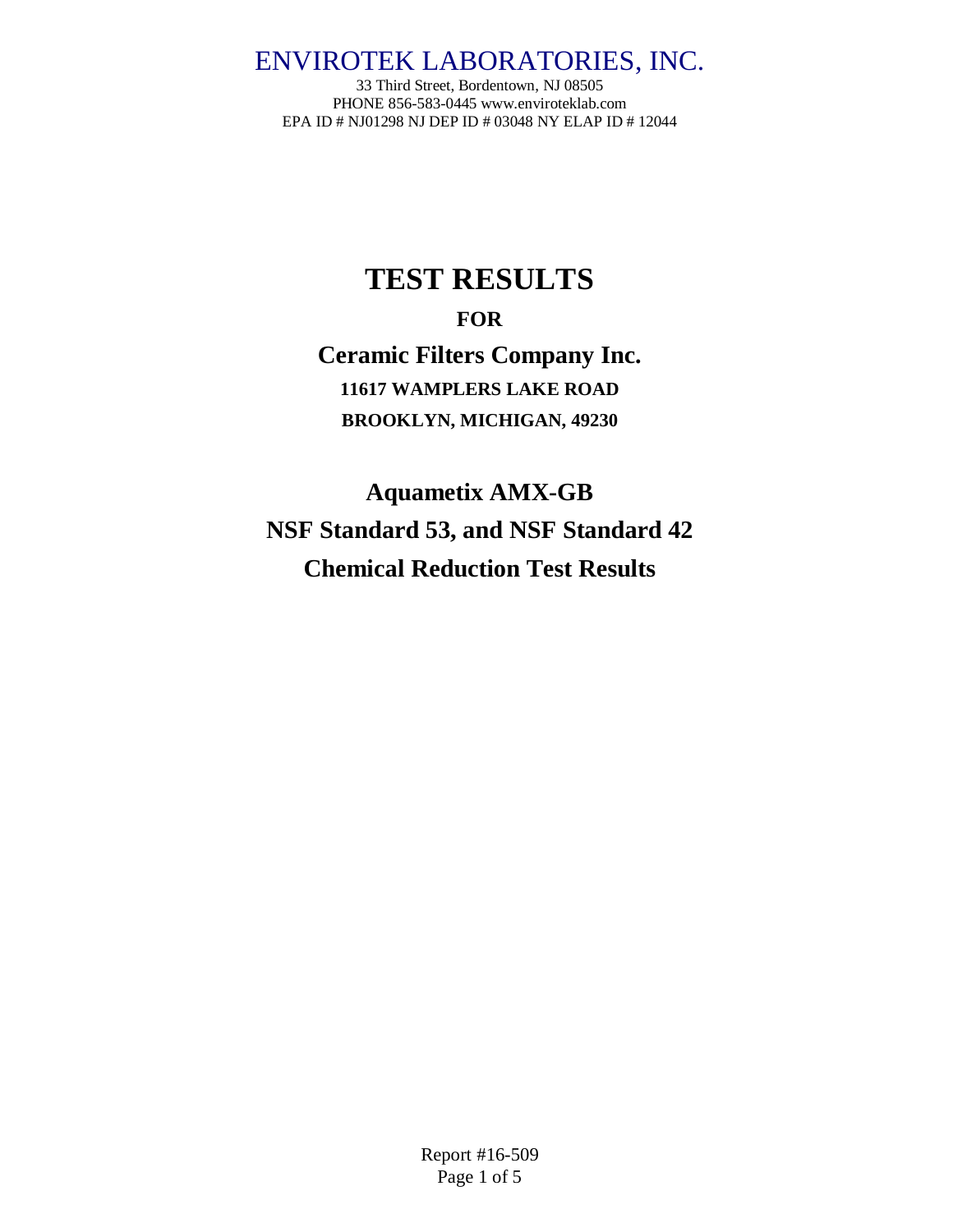33 Third Street, Bordentown, NJ 08505 PHONE 856-583-0445 www.enviroteklab.com EPA ID # NJ01298 NJ DEP ID # 03048 NY ELAP ID # 12044

# **TEST RESULTS FOR Ceramic Filters Company Inc. 11617 WAMPLERS LAKE ROAD BROOKLYN, MICHIGAN, 49230**

**Aquametix AMX-GB NSF Standard 53, and NSF Standard 42 Chemical Reduction Test Results**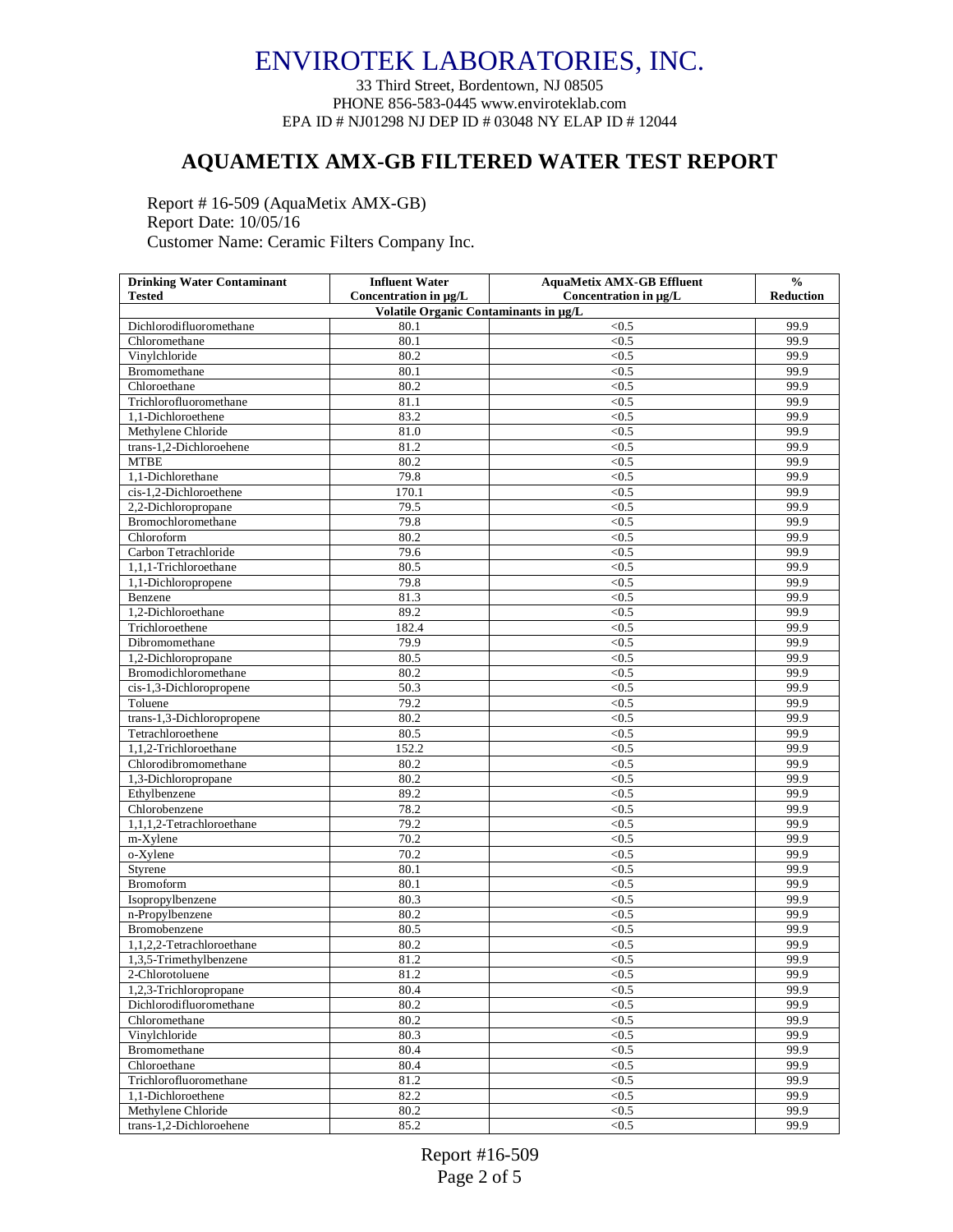33 Third Street, Bordentown, NJ 08505 PHONE 856-583-0445 www.enviroteklab.com EPA ID # NJ01298 NJ DEP ID # 03048 NY ELAP ID # 12044

### **AQUAMETIX AMX-GB FILTERED WATER TEST REPORT**

Report # 16-509 (AquaMetix AMX-GB) Report Date: 10/05/16 Customer Name: Ceramic Filters Company Inc.

| <b>Drinking Water Contaminant</b>           | <b>Influent Water</b>                 | <b>AquaMetix AMX-GB Effluent</b> | $\frac{0}{0}$    |
|---------------------------------------------|---------------------------------------|----------------------------------|------------------|
| Tested                                      | Concentration in µg/L                 | Concentration in µg/L            | <b>Reduction</b> |
|                                             | Volatile Organic Contaminants in µg/L |                                  |                  |
| Dichlorodifluoromethane                     | 80.1                                  | < 0.5                            | 99.9             |
| Chloromethane                               | 80.1                                  | < 0.5                            | 99.9             |
| Vinylchloride                               | 80.2                                  | < 0.5                            | 99.9             |
| Bromomethane                                | 80.1                                  | < 0.5                            | 99.9             |
| Chloroethane                                | 80.2                                  | < 0.5                            | 99.9             |
| Trichlorofluoromethane                      | 81.1                                  | < 0.5                            | 99.9             |
| 1,1-Dichloroethene                          | 83.2                                  | < 0.5                            | 99.9             |
| Methylene Chloride                          | 81.0<br>81.2                          | < 0.5                            | 99.9             |
| trans-1,2-Dichloroehene<br><b>MTBE</b>      | 80.2                                  | < 0.5                            | 99.9<br>99.9     |
|                                             |                                       | < 0.5                            |                  |
| 1,1-Dichlorethane<br>cis-1,2-Dichloroethene | 79.8<br>170.1                         | < 0.5<br>< 0.5                   | 99.9<br>99.9     |
|                                             | 79.5                                  | < 0.5                            | 99.9             |
| 2,2-Dichloropropane<br>Bromochloromethane   | 79.8                                  | < 0.5                            | 99.9             |
| Chloroform                                  | 80.2                                  | < 0.5                            | 99.9             |
| Carbon Tetrachloride                        | 79.6                                  | < 0.5                            | 99.9             |
| 1,1,1-Trichloroethane                       | 80.5                                  | < 0.5                            | 99.9             |
| 1,1-Dichloropropene                         | 79.8                                  | < 0.5                            | 99.9             |
| Benzene                                     | 81.3                                  | < 0.5                            | 99.9             |
| 1,2-Dichloroethane                          | 89.2                                  | < 0.5                            | 99.9             |
| Trichloroethene                             | 182.4                                 | < 0.5                            | 99.9             |
| Dibromomethane                              | 79.9                                  | < 0.5                            | 99.9             |
| 1,2-Dichloropropane                         | 80.5                                  | $\sqrt{0.5}$                     | 99.9             |
| Bromodichloromethane                        | 80.2                                  | < 0.5                            | 99.9             |
| cis-1,3-Dichloropropene                     | 50.3                                  | < 0.5                            | 99.9             |
| Toluene                                     | 79.2                                  | < 0.5                            | 99.9             |
| trans-1,3-Dichloropropene                   | 80.2                                  | < 0.5                            | 99.9             |
| Tetrachloroethene                           | 80.5                                  | < 0.5                            | 99.9             |
| 1,1,2-Trichloroethane                       | 152.2                                 | < 0.5                            | 99.9             |
| Chlorodibromomethane                        | 80.2                                  | < 0.5                            | 99.9             |
| 1,3-Dichloropropane                         | 80.2                                  | < 0.5                            | 99.9             |
| Ethylbenzene                                | 89.2                                  | < 0.5                            | 99.9             |
| Chlorobenzene                               | 78.2                                  | < 0.5                            | 99.9             |
| 1,1,1,2-Tetrachloroethane                   | 79.2                                  | < 0.5                            | 99.9             |
| m-Xylene                                    | 70.2                                  | < 0.5                            | 99.9             |
| o-Xylene                                    | 70.2                                  | < 0.5                            | 99.9             |
| Styrene                                     | 80.1                                  | < 0.5                            | 99.9             |
| <b>Bromoform</b>                            | 80.1                                  | < 0.5                            | 99.9             |
| Isopropylbenzene                            | 80.3                                  | < 0.5                            | 99.9             |
| n-Propylbenzene                             | 80.2                                  | < 0.5                            | 99.9             |
| Bromobenzene                                | 80.5                                  | < 0.5                            | 99.9             |
| 1,1,2,2-Tetrachloroethane                   | 80.2                                  | < 0.5                            | 99.9             |
| 1,3,5-Trimethylbenzene                      | 81.2                                  | < 0.5                            | 99.9             |
| 2-Chlorotoluene                             | 81.2                                  | < 0.5                            | 99.9             |
| 1,2,3-Trichloropropane                      | 80.4                                  | < 0.5                            | 99.9             |
| Dichlorodifluoromethane                     | 80.2                                  | < 0.5                            | 99.9             |
| Chloromethane                               | 80.2                                  | < 0.5                            | 99.9             |
| Vinylchloride                               | 80.3                                  | < 0.5                            | 99.9             |
| Bromomethane                                | 80.4                                  | < 0.5                            | 99.9             |
| Chloroethane                                | 80.4                                  | < 0.5                            | 99.9             |
| Trichlorofluoromethane                      | 81.2                                  | < 0.5                            | 99.9             |
| 1,1-Dichloroethene                          | 82.2                                  | < 0.5                            | 99.9             |
| Methylene Chloride                          | 80.2                                  | $\sqrt{0.5}$                     | 99.9             |
| trans-1.2-Dichloroehene                     | 85.2                                  | < 0.5                            | 99.9             |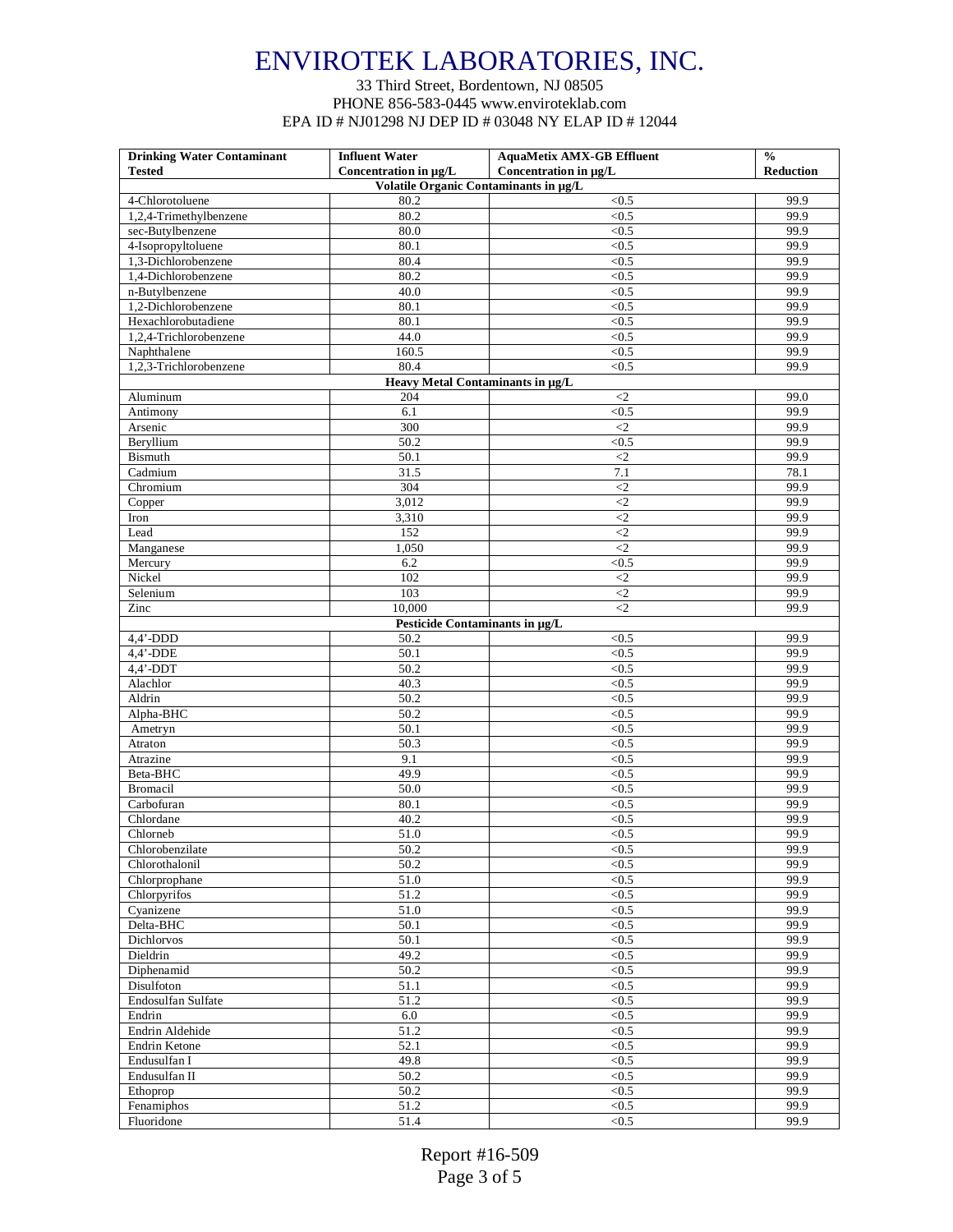#### 33 Third Street, Bordentown, NJ 08505 PHONE 856-583-0445 www.enviroteklab.com EPA ID # NJ01298 NJ DEP ID # 03048 NY ELAP ID # 12044

| <b>Drinking Water Contaminant</b>     | <b>Influent Water</b>                 | <b>AquaMetix AMX-GB Effluent</b> | $\frac{0}{0}$    |
|---------------------------------------|---------------------------------------|----------------------------------|------------------|
| <b>Tested</b>                         | Concentration in µg/L                 | Concentration in µg/L            | <b>Reduction</b> |
|                                       | Volatile Organic Contaminants in µg/L |                                  |                  |
| 4-Chlorotoluene                       | 80.2                                  | < 0.5                            | 99.9             |
| 1,2,4-Trimethylbenzene                | 80.2                                  | < 0.5                            | 99.9             |
| sec-Butylbenzene                      | 80.0                                  | < 0.5                            | 99.9             |
| 4-Isopropyltoluene                    | 80.1                                  | < 0.5                            | 99.9             |
| 1,3-Dichlorobenzene                   | 80.4                                  | < 0.5                            | 99.9             |
| 1,4-Dichlorobenzene                   | 80.2                                  | < 0.5                            | 99.9             |
| n-Butylbenzene<br>1,2-Dichlorobenzene | 40.0<br>80.1                          | < 0.5<br>< 0.5                   | 99.9<br>99.9     |
| Hexachlorobutadiene                   | 80.1                                  | < 0.5                            | 99.9             |
| 1,2,4-Trichlorobenzene                | 44.0                                  | < 0.5                            | 99.9             |
| Naphthalene                           | 160.5                                 | < 0.5                            | 99.9             |
| 1,2,3-Trichlorobenzene                | 80.4                                  | < 0.5                            | 99.9             |
|                                       | Heavy Metal Contaminants in µg/L      |                                  |                  |
| Aluminum                              | 204                                   | $\leq$ 2                         | 99.0             |
| Antimony                              | 6.1                                   | < 0.5                            | 99.9             |
| Arsenic                               | 300                                   | $\leq$ 2                         | 99.9             |
| Beryllium                             | 50.2                                  | < 0.5                            | 99.9             |
| <b>Bismuth</b>                        | 50.1                                  | $\leq$                           | 99.9             |
| Cadmium                               | 31.5                                  | 7.1                              | 78.1             |
| Chromium                              | 304                                   | $\langle 2$                      | 99.9             |
| Copper                                | 3,012                                 | $\leq$ 2                         | 99.9             |
| Iron                                  | 3,310                                 | $\langle 2$                      | 99.9             |
| Lead                                  | 152                                   | $\langle 2$                      | 99.9             |
| Manganese                             | 1,050                                 | $\leq$ 2                         | 99.9             |
| Mercury                               | 6.2                                   | < 0.5                            | 99.9             |
| Nickel                                | 102                                   | $\leq$                           | 99.9             |
| Selenium                              | 103                                   | $\langle 2$                      | 99.9             |
| Zinc                                  | 10,000                                | $\langle 2$                      | 99.9             |
|                                       | Pesticide Contaminants in µg/L        |                                  |                  |
| $4,4'$ -DDD                           | 50.2                                  | < 0.5                            | 99.9             |
| $4,4'$ -DDE                           | 50.1                                  | < 0.5                            | 99.9             |
| $4,4'$ -DDT                           | 50.2                                  | < 0.5                            | 99.9             |
| Alachlor                              | 40.3                                  | < 0.5                            | 99.9             |
| Aldrin                                | 50.2                                  | < 0.5                            | 99.9             |
| Alpha-BHC                             | 50.2                                  | < 0.5                            | 99.9             |
| Ametryn                               | 50.1                                  | < 0.5                            | 99.9             |
| Atraton                               | 50.3<br>9.1                           | < 0.5                            | 99.9<br>99.9     |
| Atrazine<br>Beta-BHC                  | 49.9                                  | < 0.5<br>< 0.5                   | 99.9             |
| <b>Bromacil</b>                       | 50.0                                  | < 0.5                            | 99.9             |
| Carbofuran                            | 80.1                                  | < 0.5                            | 99.9             |
| Chlordane                             | 40.2                                  | < 0.5                            | 99.9             |
| Chlorneb                              | 51.0                                  | < 0.5                            | 99.9             |
| Chlorobenzilate                       | 50.2                                  | < 0.5                            | 99.9             |
| Chlorothalonil                        | 50.2                                  | < 0.5                            | 99.9             |
| Chlorprophane                         | 51.0                                  | $<0.5$                           | 99.9             |
| Chlorpyrifos                          | 51.2                                  | < 0.5                            | 99.9             |
| Cyanizene                             | 51.0                                  | < 0.5                            | 99.9             |
| Delta-BHC                             | 50.1                                  | < 0.5                            | 99.9             |
| Dichlorvos                            | 50.1                                  | < 0.5                            | 99.9             |
| Dieldrin                              | 49.2                                  | < 0.5                            | 99.9             |
| Diphenamid                            | 50.2                                  | < 0.5                            | 99.9             |
| Disulfoton                            | 51.1                                  | < 0.5                            | 99.9             |
| Endosulfan Sulfate                    | 51.2                                  | < 0.5                            | 99.9             |
| Endrin                                | 6.0                                   | < 0.5                            | 99.9             |
| Endrin Aldehide                       | 51.2                                  | < 0.5                            | 99.9             |
| Endrin Ketone                         | 52.1                                  | < 0.5                            | 99.9             |
| Endusulfan I                          | 49.8                                  | $<0.5$                           | 99.9             |
| Endusulfan II                         | 50.2                                  | $<0.5$                           | 99.9             |
| Ethoprop                              | 50.2                                  | < 0.5                            | 99.9             |
| Fenamiphos                            | 51.2                                  | $\sqrt{0.5}$                     | 99.9             |
| Fluoridone                            | 51.4                                  | < 0.5                            | 99.9             |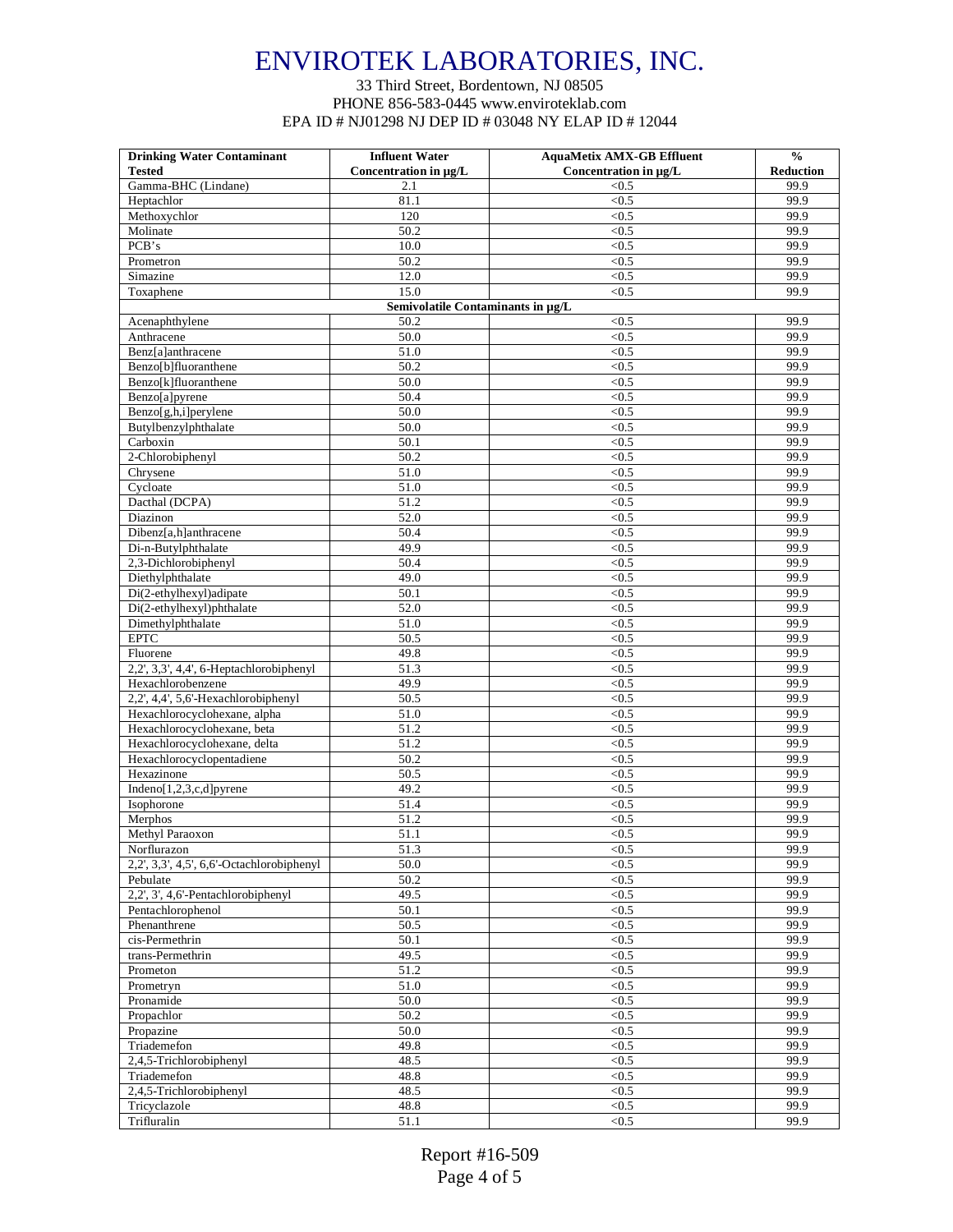#### 33 Third Street, Bordentown, NJ 08505 PHONE 856-583-0445 www.enviroteklab.com EPA ID # NJ01298 NJ DEP ID # 03048 NY ELAP ID # 12044

| <b>Drinking Water Contaminant</b>           | <b>Influent Water</b>             | <b>AquaMetix AMX-GB Effluent</b> | $\frac{0}{0}$    |
|---------------------------------------------|-----------------------------------|----------------------------------|------------------|
| <b>Tested</b>                               | Concentration in µg/L             | Concentration in µg/L            | <b>Reduction</b> |
| Gamma-BHC (Lindane)                         | 2.1                               | < 0.5                            | 99.9             |
| Heptachlor                                  | 81.1                              | < 0.5                            | 99.9             |
| Methoxychlor                                | 120                               | < 0.5                            | 99.9             |
| Molinate                                    | 50.2                              | < 0.5                            | 99.9             |
| PCB's                                       | 10.0                              | < 0.5                            | 99.9             |
| Prometron                                   | 50.2                              | < 0.5                            | 99.9             |
| Simazine                                    | 12.0                              | < 0.5                            | 99.9             |
| Toxaphene                                   | 15.0                              | < 0.5                            | 99.9             |
|                                             | Semivolatile Contaminants in µg/L |                                  |                  |
| Acenaphthylene                              | 50.2                              | < 0.5                            | 99.9             |
| Anthracene                                  | 50.0                              | < 0.5                            | 99.9             |
| Benz[a]anthracene                           | 51.0                              | < 0.5                            | 99.9             |
| Benzo[b]fluoranthene                        | 50.2                              | < 0.5                            | 99.9             |
| Benzo[k]fluoranthene                        | 50.0                              | < 0.5                            | 99.9             |
| Benzo[a]pyrene                              | 50.4                              | < 0.5                            | 99.9             |
| Benzo[g,h,i]perylene                        | 50.0                              | < 0.5                            | 99.9             |
| Butylbenzylphthalate                        | 50.0                              | < 0.5                            | 99.9             |
| Carboxin                                    | 50.1                              | < 0.5                            | 99.9             |
| 2-Chlorobiphenyl                            | 50.2                              | < 0.5                            | 99.9             |
| Chrysene                                    | 51.0                              | < 0.5                            | 99.9             |
| Cycloate<br>Dacthal (DCPA)                  | 51.0                              | < 0.5                            | 99.9<br>99.9     |
|                                             | 51.2                              | < 0.5                            | 99.9             |
| Diazinon                                    | 52.0                              | < 0.5                            | 99.9             |
| Dibenz[a,h]anthracene                       | 50.4                              | < 0.5                            |                  |
| Di-n-Butylphthalate<br>2,3-Dichlorobiphenyl | 49.9<br>50.4                      | < 0.5<br>< 0.5                   | 99.9<br>99.9     |
|                                             | 49.0                              |                                  | 99.9             |
| Diethylphthalate<br>Di(2-ethylhexyl)adipate | 50.1                              | < 0.5<br>< 0.5                   | 99.9             |
| Di(2-ethylhexyl)phthalate                   | 52.0                              | < 0.5                            | 99.9             |
| Dimethylphthalate                           | 51.0                              | < 0.5                            | 99.9             |
| <b>EPTC</b>                                 | 50.5                              | < 0.5                            | 99.9             |
| Fluorene                                    | 49.8                              | < 0.5                            | 99.9             |
| 2,2', 3,3', 4,4', 6-Heptachlorobiphenyl     | 51.3                              | < 0.5                            | 99.9             |
| Hexachlorobenzene                           | 49.9                              | < 0.5                            | 99.9             |
| 2,2', 4,4', 5,6'-Hexachlorobiphenyl         | 50.5                              | < 0.5                            | 99.9             |
| Hexachlorocyclohexane, alpha                | 51.0                              | < 0.5                            | 99.9             |
| Hexachlorocyclohexane, beta                 | 51.2                              | < 0.5                            | 99.9             |
| Hexachlorocyclohexane, delta                | 51.2                              | < 0.5                            | 99.9             |
| Hexachlorocyclopentadiene                   | 50.2                              | < 0.5                            | 99.9             |
| Hexazinone                                  | 50.5                              | < 0.5                            | 99.9             |
| Indeno[1,2,3,c,d]pyrene                     | 49.2                              | < 0.5                            | 99.9             |
| Isophorone                                  | 51.4                              | < 0.5                            | 99.9             |
| Merphos                                     | 51.2                              | < 0.5                            | 99.9             |
| Methyl Paraoxon                             | 51.1                              | < 0.5                            | 99.9             |
| Norflurazon                                 | 51.3                              | < 0.5                            | 99.9             |
| 2,2', 3,3', 4,5', 6,6'-Octachlorobiphenyl   | 50.0                              | < 0.5                            | 99.9             |
| Pebulate                                    | 50.2                              | < 0.5                            | 99.9             |
| 2,2', 3', 4,6'-Pentachlorobiphenyl          | 49.5                              | < 0.5                            | 99.9             |
| Pentachlorophenol                           | 50.1                              | < 0.5                            | 99.9             |
| Phenanthrene                                | 50.5                              | < 0.5                            | 99.9             |
| cis-Permethrin                              | 50.1                              | $<0.5$                           | 99.9             |
| trans-Permethrin                            | 49.5                              | < 0.5                            | 99.9             |
| Prometon                                    | 51.2                              | < 0.5                            | 99.9             |
| Prometryn                                   | 51.0                              | < 0.5                            | 99.9             |
| Pronamide                                   | 50.0                              | < 0.5                            | 99.9             |
| Propachlor                                  | 50.2                              | < 0.5                            | 99.9             |
| Propazine                                   | 50.0                              | < 0.5                            | 99.9             |
| Triademefon                                 | 49.8                              | < 0.5                            | 99.9             |
| 2,4,5-Trichlorobiphenyl                     | 48.5                              | < 0.5                            | 99.9             |
| Triademefon                                 | 48.8                              | < 0.5                            | 99.9             |
| 2,4,5-Trichlorobiphenyl                     | 48.5                              | < 0.5                            | 99.9             |
| Tricyclazole                                | 48.8                              | $\sqrt{0.5}$                     | 99.9             |
| Trifluralin                                 | 51.1                              | < 0.5                            | 99.9             |